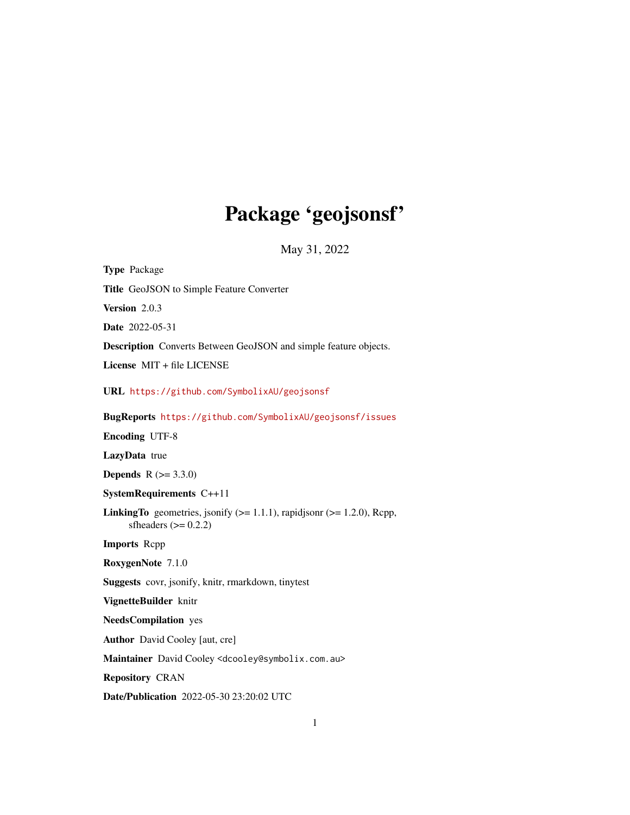# Package 'geojsonsf'

May 31, 2022

Type Package Title GeoJSON to Simple Feature Converter Version 2.0.3 Date 2022-05-31 Description Converts Between GeoJSON and simple feature objects. License MIT + file LICENSE URL <https://github.com/SymbolixAU/geojsonsf> BugReports <https://github.com/SymbolixAU/geojsonsf/issues> Encoding UTF-8 LazyData true **Depends**  $R (= 3.3.0)$ SystemRequirements C++11 **LinkingTo** geometries, jsonify  $(>= 1.1.1)$ , rapidjsonr  $(>= 1.2.0)$ , Rcpp, sfheaders  $(>= 0.2.2)$ Imports Rcpp RoxygenNote 7.1.0 Suggests covr, jsonify, knitr, rmarkdown, tinytest VignetteBuilder knitr NeedsCompilation yes Author David Cooley [aut, cre] Maintainer David Cooley <dcooley@symbolix.com.au> Repository CRAN Date/Publication 2022-05-30 23:20:02 UTC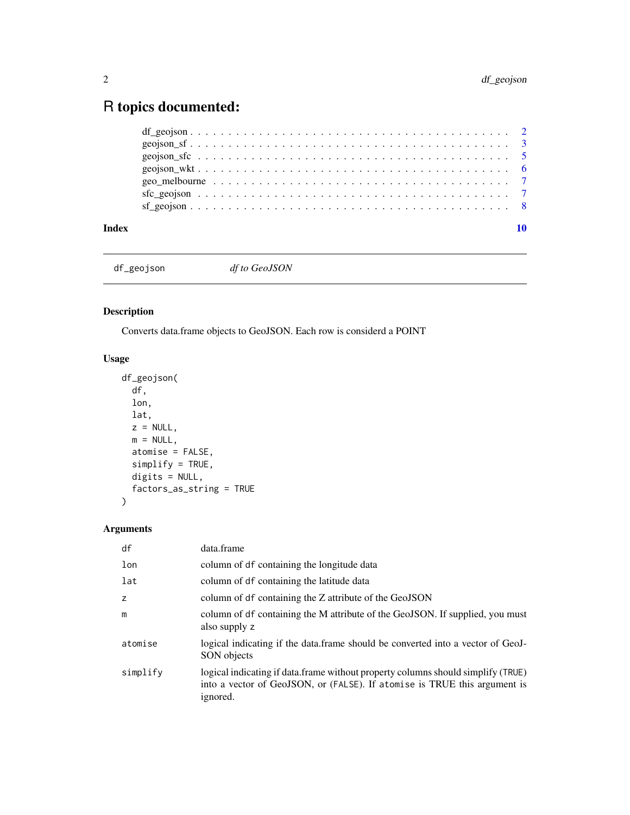## <span id="page-1-0"></span>R topics documented:

| Index |  |
|-------|--|
|       |  |
|       |  |
|       |  |
|       |  |
|       |  |
|       |  |
|       |  |

df\_geojson *df to GeoJSON*

### Description

Converts data.frame objects to GeoJSON. Each row is considerd a POINT

#### Usage

```
df_geojson(
 df,
 lon,
 lat,
 z = NULL,m = NULL,atomise = FALSE,
 simplify = TRUE,
 digits = NULL,
  factors_as_string = TRUE
\mathcal{L}
```
#### Arguments

| df       | data.frame                                                                                                                                                                |
|----------|---------------------------------------------------------------------------------------------------------------------------------------------------------------------------|
| lon      | column of df containing the longitude data                                                                                                                                |
| lat      | column of df containing the latitude data                                                                                                                                 |
| z        | column of df containing the Z attribute of the GeoJSON                                                                                                                    |
| m        | column of df containing the M attribute of the GeoJSON. If supplied, you must<br>also supply z                                                                            |
| atomise  | logical indicating if the data.frame should be converted into a vector of GeoJ-<br>SON objects                                                                            |
| simplify | logical indicating if data.frame without property columns should simplify (TRUE)<br>into a vector of GeoJSON, or (FALSE). If atomise is TRUE this argument is<br>ignored. |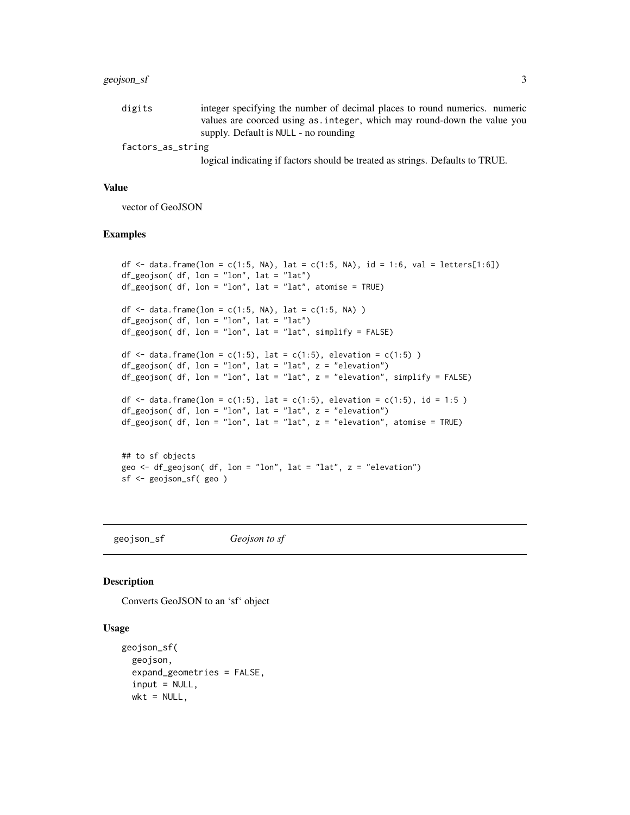#### <span id="page-2-0"></span>geojson\_sf 3

| digits            | integer specifying the number of decimal places to round numerics. numeric |
|-------------------|----------------------------------------------------------------------------|
|                   | values are coorced using as, integer, which may round-down the value you   |
|                   | supply. Default is NULL - no rounding                                      |
| factors_as_string |                                                                            |

logical indicating if factors should be treated as strings. Defaults to TRUE.

#### Value

vector of GeoJSON

#### Examples

```
df <- data.frame(lon = c(1:5, NA), lat = c(1:5, NA), id = 1:6, val = letters[1:6])
df_geojson( df, lon = "lon", lat = "lat")
df_geojson( df, lon = "lon", lat = "lat", atomise = TRUE)
df <- data.frame(lon = c(1:5, NA), lat = c(1:5, NA))
df_geojson( df, lon = "lon", lat = "lat")
df_geojson( df, lon = "lon", lat = "lat", simplify = FALSE)
df \le data.frame(lon = c(1:5), lat = c(1:5), elevation = c(1:5))
df\_geojson( df, lon = "lon", lat = "lat", z = "elevation")df_geojson( df, lon = "lon", lat = "lat", z = "elevation", simplify = FALSE)
df <- data.frame(lon = c(1:5), lat = c(1:5), elevation = c(1:5), id = 1:5)
df_geojson( df, lon = "lon", lat = "lat", z = "elevation")
df_geepsilon of df, lon = "lon", lat = "lat", z = "elevation", atomise = TRUE)## to sf objects
geo \leq df_geojson( df, lon = "lon", lat = "lat", z = "elevation")
```

```
sf <- geojson_sf( geo )
```
geojson\_sf *Geojson to sf*

#### Description

Converts GeoJSON to an 'sf' object

#### Usage

```
geojson_sf(
  geojson,
  expand_geometries = FALSE,
  input = NULL,wkt = NULL,
```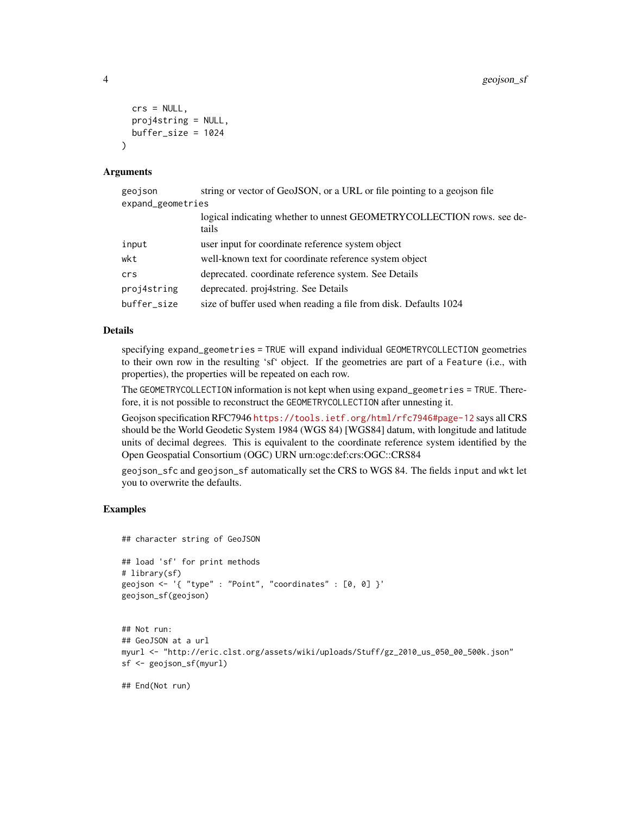```
crs = NULL,
 proj4string = NULL,
 buffer_size = 1024\lambda
```
#### Arguments

| geojson           | string or vector of GeoJSON, or a URL or file pointing to a geojson file       |
|-------------------|--------------------------------------------------------------------------------|
| expand_geometries |                                                                                |
|                   | logical indicating whether to unnest GEOMETRYCOLLECTION rows. see de-<br>tails |
| input             | user input for coordinate reference system object                              |
| wkt               | well-known text for coordinate reference system object                         |
| crs               | deprecated. coordinate reference system. See Details                           |
| proj4string       | deprecated. proj4string. See Details                                           |
| buffer_size       | size of buffer used when reading a file from disk. Defaults 1024               |

#### Details

specifying expand\_geometries = TRUE will expand individual GEOMETRYCOLLECTION geometries to their own row in the resulting 'sf' object. If the geometries are part of a Feature (i.e., with properties), the properties will be repeated on each row.

The GEOMETRYCOLLECTION information is not kept when using expand\_geometries = TRUE. Therefore, it is not possible to reconstruct the GEOMETRYCOLLECTION after unnesting it.

Geojson specification RFC7946 <https://tools.ietf.org/html/rfc7946#page-12> says all CRS should be the World Geodetic System 1984 (WGS 84) [WGS84] datum, with longitude and latitude units of decimal degrees. This is equivalent to the coordinate reference system identified by the Open Geospatial Consortium (OGC) URN urn:ogc:def:crs:OGC::CRS84

geojson\_sfc and geojson\_sf automatically set the CRS to WGS 84. The fields input and wkt let you to overwrite the defaults.

#### Examples

```
## character string of GeoJSON
## load 'sf' for print methods
# library(sf)
geojson <- '{ "type" : "Point", "coordinates" : [0, 0] }'
geojson_sf(geojson)
```

```
## Not run:
## GeoJSON at a url
myurl <- "http://eric.clst.org/assets/wiki/uploads/Stuff/gz_2010_us_050_00_500k.json"
sf <- geojson_sf(myurl)
```
## End(Not run)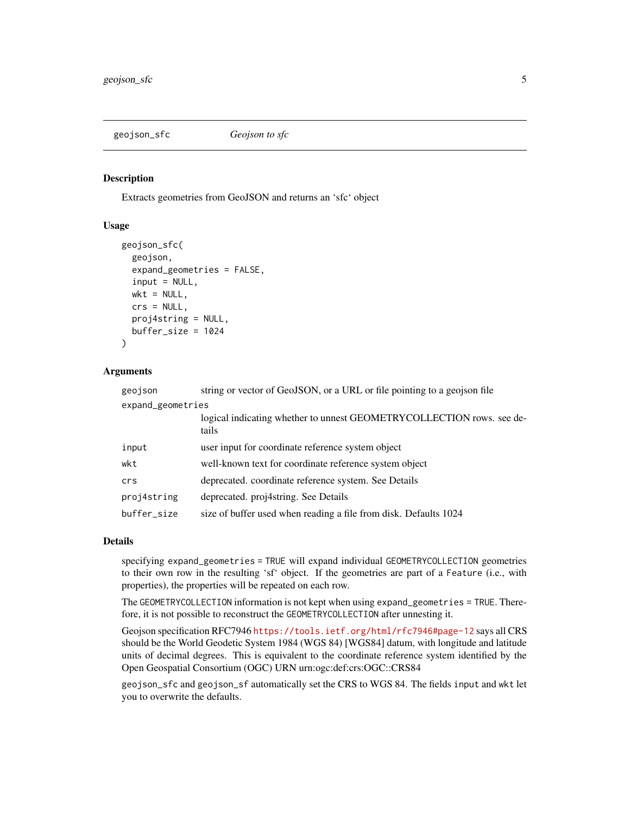#### <span id="page-4-0"></span>geojson\_sfc *Geojson to sfc*

#### **Description**

Extracts geometries from GeoJSON and returns an 'sfc' object

#### Usage

```
geojson_sfc(
  geojson,
  expand_geometries = FALSE,
  input = NULL,wkt = NULL,crs = NULL,
  proj4string = NULL,
  buffer_size = 1024
)
```
#### Arguments

| geojson           | string or vector of GeoJSON, or a URL or file pointing to a geojson file       |  |
|-------------------|--------------------------------------------------------------------------------|--|
| expand_geometries |                                                                                |  |
|                   | logical indicating whether to unnest GEOMETRYCOLLECTION rows. see de-<br>tails |  |
| input             | user input for coordinate reference system object                              |  |
| wkt               | well-known text for coordinate reference system object                         |  |
| crs               | deprecated. coordinate reference system. See Details                           |  |
| proj4string       | deprecated. proj4string. See Details                                           |  |
| buffer_size       | size of buffer used when reading a file from disk. Defaults 1024               |  |

#### Details

specifying expand\_geometries = TRUE will expand individual GEOMETRYCOLLECTION geometries to their own row in the resulting 'sf' object. If the geometries are part of a Feature (i.e., with properties), the properties will be repeated on each row.

The GEOMETRYCOLLECTION information is not kept when using expand\_geometries = TRUE. Therefore, it is not possible to reconstruct the GEOMETRYCOLLECTION after unnesting it.

Geojson specification RFC7946 <https://tools.ietf.org/html/rfc7946#page-12> says all CRS should be the World Geodetic System 1984 (WGS 84) [WGS84] datum, with longitude and latitude units of decimal degrees. This is equivalent to the coordinate reference system identified by the Open Geospatial Consortium (OGC) URN urn:ogc:def:crs:OGC::CRS84

geojson\_sfc and geojson\_sf automatically set the CRS to WGS 84. The fields input and wkt let you to overwrite the defaults.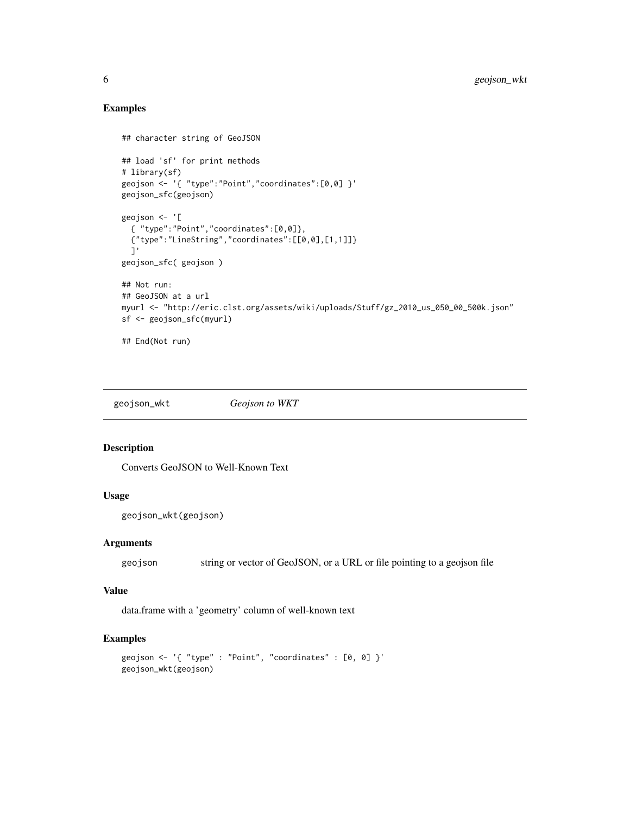#### Examples

```
## character string of GeoJSON
## load 'sf' for print methods
# library(sf)
geojson <- '{ "type":"Point","coordinates":[0,0] }'
geojson_sfc(geojson)
geojson <- '[
  { "type":"Point","coordinates":[0,0]},
  {"type":"LineString","coordinates":[[0,0],[1,1]]}
  ]'
geojson_sfc( geojson )
## Not run:
## GeoJSON at a url
myurl <- "http://eric.clst.org/assets/wiki/uploads/Stuff/gz_2010_us_050_00_500k.json"
sf <- geojson_sfc(myurl)
## End(Not run)
```
geojson\_wkt *Geojson to WKT*

#### Description

Converts GeoJSON to Well-Known Text

#### Usage

```
geojson_wkt(geojson)
```
#### Arguments

geojson string or vector of GeoJSON, or a URL or file pointing to a geojson file

#### Value

data.frame with a 'geometry' column of well-known text

#### Examples

```
geojson <- '{ "type" : "Point", "coordinates" : [0, 0] }'
geojson_wkt(geojson)
```
<span id="page-5-0"></span>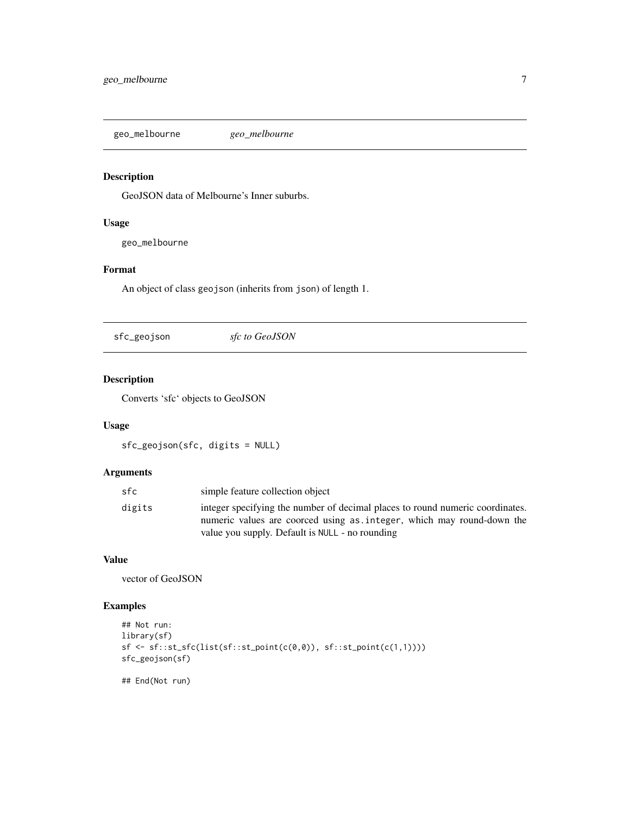<span id="page-6-0"></span>geo\_melbourne *geo\_melbourne*

#### Description

GeoJSON data of Melbourne's Inner suburbs.

#### Usage

geo\_melbourne

#### Format

An object of class geojson (inherits from json) of length 1.

sfc\_geojson *sfc to GeoJSON*

#### Description

Converts 'sfc' objects to GeoJSON

#### Usage

sfc\_geojson(sfc, digits = NULL)

#### Arguments

| sfc    | simple feature collection object                                                                                                                       |
|--------|--------------------------------------------------------------------------------------------------------------------------------------------------------|
| digits | integer specifying the number of decimal places to round numeric coordinates.<br>numeric values are coorced using as integer, which may round-down the |
|        | value you supply. Default is NULL - no rounding                                                                                                        |

#### Value

vector of GeoJSON

#### Examples

```
## Not run:
library(sf)
sf \leftarrow sf::st\_sfc(list(st::st\_point(c(\emptyset, \emptyset)), sf::st\_point(c(1,1))))sfc_geojson(sf)
```
## End(Not run)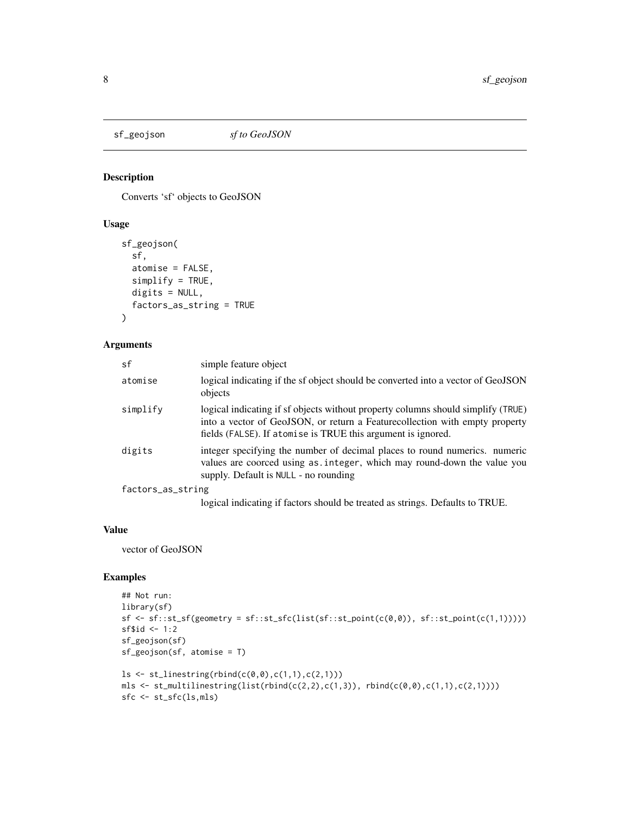<span id="page-7-0"></span>

#### Description

Converts 'sf' objects to GeoJSON

#### Usage

```
sf_geojson(
  sf,
  atomise = FALSE,
  simplify = TRUE,
  digits = NULL,
  factors_as_string = TRUE
\mathcal{L}
```
#### Arguments

| sf                | simple feature object                                                                                                                                                                                                            |
|-------------------|----------------------------------------------------------------------------------------------------------------------------------------------------------------------------------------------------------------------------------|
| atomise           | logical indicating if the sf object should be converted into a vector of GeoJSON<br>objects                                                                                                                                      |
| simplify          | logical indicating if sf objects without property columns should simplify (TRUE)<br>into a vector of GeoJSON, or return a Feature collection with empty property<br>fields (FALSE). If atomise is TRUE this argument is ignored. |
| digits            | integer specifying the number of decimal places to round numerics. numeric<br>values are coorced using as integer, which may round-down the value you<br>supply. Default is NULL - no rounding                                   |
| factors_as_string |                                                                                                                                                                                                                                  |
|                   | logical indicating if factors should be treated as strings. Defaults to TRUE.                                                                                                                                                    |

#### Value

vector of GeoJSON

#### Examples

```
## Not run:
library(sf)
sf \leftarrow sf::st\_sf(geometry = sf::st\_sfc(list(sf::st\_point(c(\emptyset, \emptyset)), sf::st\_point(c(1,1)))))sf$id <-1:2sf_geojson(sf)
sf_geojson(sf, atomise = T)
ls \leftarrow st\_linestring(rbind(c(<math>\emptyset, \emptyset</math>), c(1,1), c(2,1)))mls \leq st_multilinestring(list(rbind(c(2,2),c(1,3)), rbind(c(0,0),c(1,1),c(2,1))))
sfc <- st_sfc(ls,mls)
```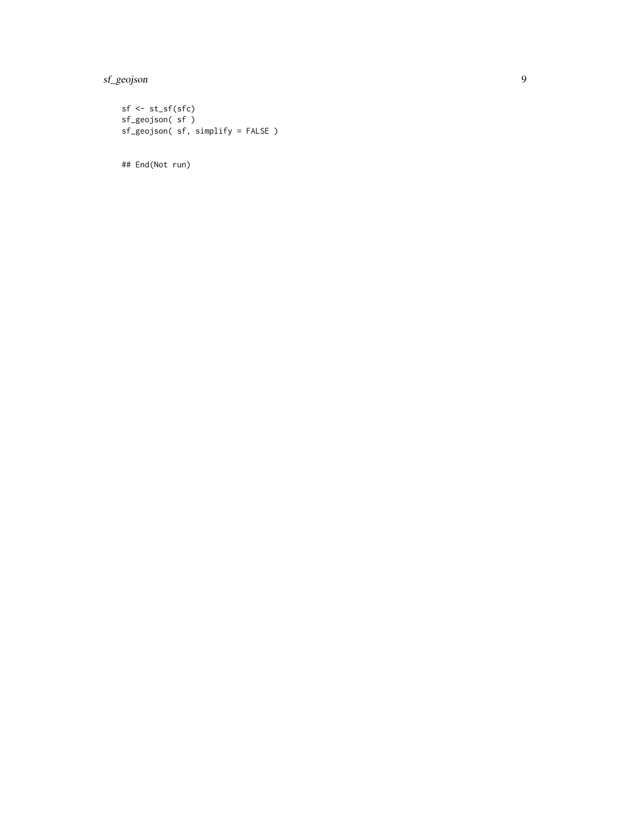sf\_geojson 9

 $sf \leftarrow st_s(fsf)$ sf\_geojson( sf ) sf\_geojson( sf, simplify = FALSE )

## End(Not run)